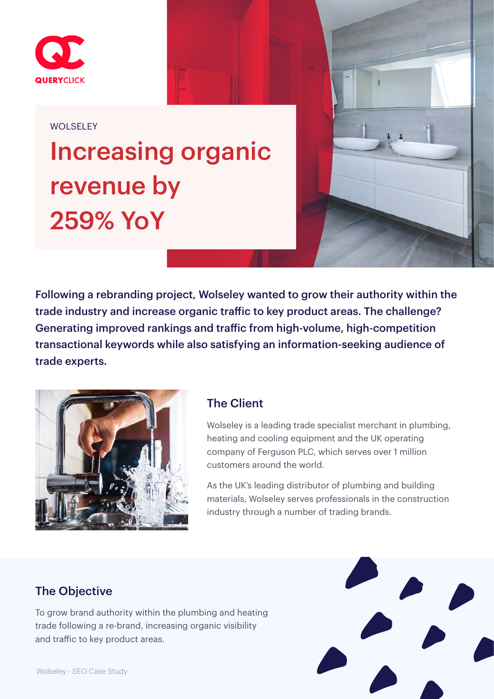

#### WOLSELEY

# Increasing organic revenue by 259% YoY



Following a rebranding project, Wolseley wanted to grow their authority within the trade industry and increase organic traffic to key product areas. The challenge? Generating improved rankings and traffic from high-volume, high-competition transactional keywords while also satisfying an information-seeking audience of trade experts.



#### The Client

Wolseley is a leading trade specialist merchant in plumbing, heating and cooling equipment and the UK operating company of Ferguson PLC, which serves over 1 million customers around the world.

As the UK's leading distributor of plumbing and building materials, Wolseley serves professionals in the construction industry through a number of trading brands.

#### The Objective

To grow brand authority within the plumbing and heating trade following a re-brand, increasing organic visibility and traffic to key product areas.